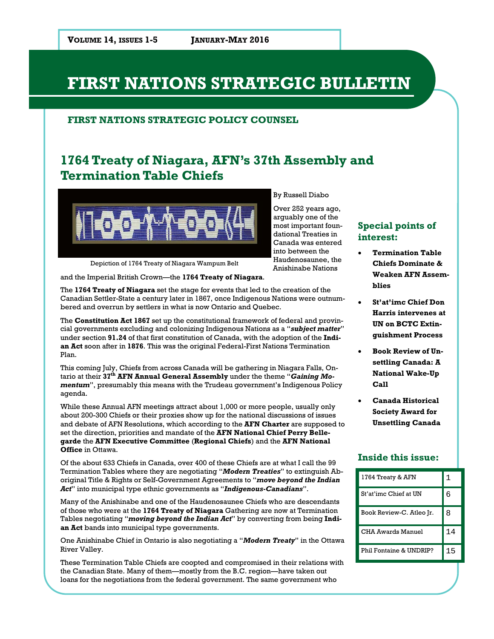### **FIRST NATIONS STRATEGIC POLICY COUNSEL**

# **1764 Treaty of Niagara, AFN's 37th Assembly and Termination Table Chiefs**



into between the

Depiction of 1764 Treaty of Niagara Wampum Belt

and the Imperial British Crown—the **1764 Treaty of Niagara**.

The **1764 Treaty of Niagara** set the stage for events that led to the creation of the Canadian Settler-State a century later in 1867, once Indigenous Nations were outnumbered and overrun by settlers in what is now Ontario and Quebec.

The **Constitution Act 1867** set up the constitutional framework of federal and provincial governments excluding and colonizing Indigenous Nations as a "*subject matter*" under section **91.24** of that first constitution of Canada, with the adoption of the **Indian Act** soon after in **1876**. This was the original Federal-First Nations Termination Plan.

This coming July, Chiefs from across Canada will be gathering in Niagara Falls, Ontario at their **37th AFN Annual General Assembly** under the theme "*Gaining Momentum*", presumably this means with the Trudeau government's Indigenous Policy agenda.

While these Annual AFN meetings attract about 1,000 or more people, usually only about 200-300 Chiefs or their proxies show up for the national discussions of issues and debate of AFN Resolutions, which according to the **AFN Charter** are supposed to set the direction, priorities and mandate of the **AFN National Chief Perry Bellegarde** the **AFN Executive Committee** (**Regional Chiefs**) and the **AFN National Office** in Ottawa.

Of the about 633 Chiefs in Canada, over 400 of these Chiefs are at what I call the 99 Termination Tables where they are negotiating "*Modern Treaties*" to extinguish Aboriginal Title & Rights or Self-Government Agreements to "*move beyond the Indian Act*" into municipal type ethnic governments as "*Indigenous-Canadians*".

Many of the Anishinabe and one of the Haudenosaunee Chiefs who are descendants of those who were at the **1764 Treaty of Niagara** Gathering are now at Termination Tables negotiating "*moving beyond the Indian Act*" by converting from being **Indian Act** bands into municipal type governments.

One Anishinabe Chief in Ontario is also negotiating a "*Modern Treaty*" in the Ottawa River Valley.

These Termination Table Chiefs are coopted and compromised in their relations with the Canadian State. Many of them—mostly from the B.C. region—have taken out loans for the negotiations from the federal government. The same government who

#### By Russell Diabo

Over 252 years ago, arguably one of the most important foundational Treaties in Canada was entered Haudenosaunee, the Anishinabe Nations

### **Special points of interest:**

- **Termination Table Chiefs Dominate & Weaken AFN Assemblies**
- **St'at'imc Chief Don Harris intervenes at UN on BCTC Extinguishment Process**
- **Book Review of Unsettling Canada: A National Wake-Up Call**
- **Canada Historical Society Award for Unsettling Canada**

### **Inside this issue:**

| 1764 Treaty & AFN        |    |
|--------------------------|----|
| St'at'imc Chief at IJN   | 6  |
| Book Review-C. Atleo Ir. | 8  |
| CHA Awards Manuel        | 14 |
| Phil Fontaine & UNDRIP?  | 15 |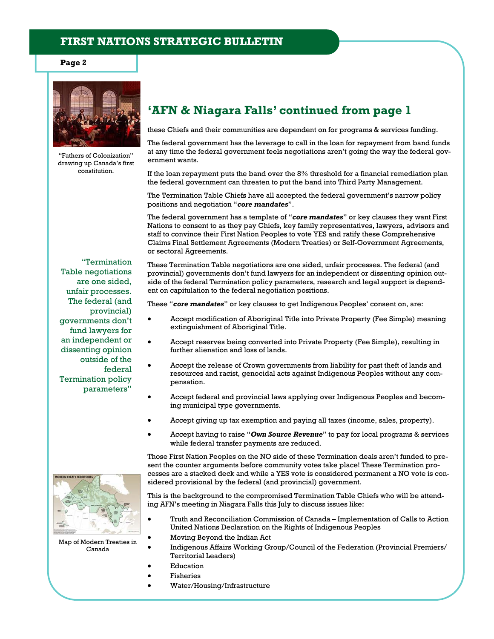**Page 2** 



"Fathers of Colonization" drawing up Canada's first constitution.

# **'AFN & Niagara Falls' continued from page 1**

these Chiefs and their communities are dependent on for programs & services funding.

The federal government has the leverage to call in the loan for repayment from band funds at any time the federal government feels negotiations aren't going the way the federal government wants.

If the loan repayment puts the band over the 8% threshold for a financial remediation plan the federal government can threaten to put the band into Third Party Management.

The Termination Table Chiefs have all accepted the federal government's narrow policy positions and negotiation "*core mandates*".

The federal government has a template of "*core mandates*" or key clauses they want First Nations to consent to as they pay Chiefs, key family representatives, lawyers, advisors and staff to convince their First Nation Peoples to vote YES and ratify these Comprehensive Claims Final Settlement Agreements (Modern Treaties) or Self-Government Agreements, or sectoral Agreements.

"Termination Table negotiations are one sided, unfair processes. The federal (and provincial) governments don't fund lawyers for an independent or dissenting opinion outside of the federal Termination policy parameters"

These Termination Table negotiations are one sided, unfair processes. The federal (and provincial) governments don't fund lawyers for an independent or dissenting opinion outside of the federal Termination policy parameters, research and legal support is dependent on capitulation to the federal negotiation positions.

These "*core mandates*" or key clauses to get Indigenous Peoples' consent on, are:

- Accept modification of Aboriginal Title into Private Property (Fee Simple) meaning extinguishment of Aboriginal Title.
- Accept reserves being converted into Private Property (Fee Simple), resulting in further alienation and loss of lands.
- Accept the release of Crown governments from liability for past theft of lands and resources and racist, genocidal acts against Indigenous Peoples without any compensation.
- Accept federal and provincial laws applying over Indigenous Peoples and becoming municipal type governments.
- Accept giving up tax exemption and paying all taxes (income, sales, property).
- Accept having to raise "*Own Source Revenue*" to pay for local programs & services while federal transfer payments are reduced.

Those First Nation Peoples on the NO side of these Termination deals aren't funded to present the counter arguments before community votes take place! These Termination processes are a stacked deck and while a YES vote is considered permanent a NO vote is considered provisional by the federal (and provincial) government.

This is the background to the compromised Termination Table Chiefs who will be attending AFN's meeting in Niagara Falls this July to discuss issues like:

- Truth and Reconciliation Commission of Canada Implementation of Calls to Action United Nations Declaration on the Rights of Indigenous Peoples
- Moving Beyond the Indian Act
- Indigenous Affairs Working Group/Council of the Federation (Provincial Premiers/ Territorial Leaders)
- Education
- Fisheries
- Water/Housing/Infrastructure



Map of Modern Treaties in Canada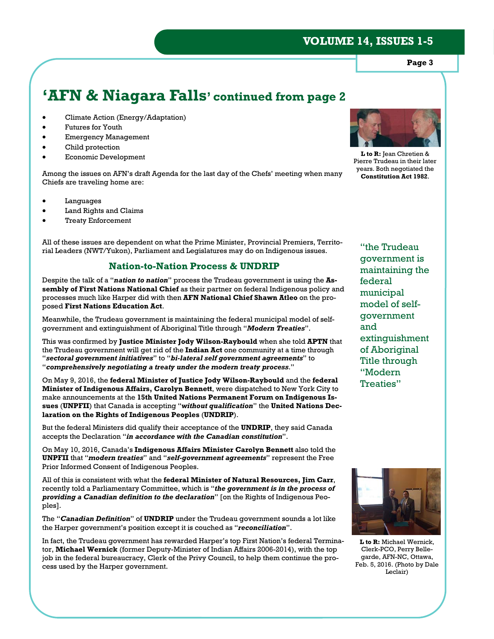**Page 3** 

# **'AFN & Niagara Falls' continued from page 2**

- Climate Action (Energy/Adaptation)
- Futures for Youth
- Emergency Management
- Child protection
- Economic Development

Among the issues on AFN's draft Agenda for the last day of the Chefs' meeting when many Chiefs are traveling home are:

- Languages
- Land Rights and Claims
- Treaty Enforcement

All of these issues are dependent on what the Prime Minister, Provincial Premiers, Territorial Leaders (NWT/Yukon), Parliament and Legislatures may do on Indigenous issues.

### **Nation-to-Nation Process & UNDRIP**

Despite the talk of a "*nation to nation*" process the Trudeau government is using the **Assembly of First Nations National Chief** as their partner on federal Indigenous policy and processes much like Harper did with then **AFN National Chief Shawn Atleo** on the proposed **First Nations Education Act**.

Meanwhile, the Trudeau government is maintaining the federal municipal model of selfgovernment and extinguishment of Aboriginal Title through "*Modern Treaties*".

This was confirmed by **Justice Minister Jody Wilson-Raybould** when she told **APTN** that the Trudeau government will get rid of the **Indian Act** one community at a time through "*sectoral government initiatives*" to "*bi-lateral self government agreements*" to "*comprehensively negotiating a treaty under the modern treaty process*."

On May 9, 2016, the **federal Minister of Justice Jody Wilson-Raybould** and the **federal Minister of Indigenous Affairs, Carolyn Bennett**, were dispatched to New York City to make announcements at the **15th United Nations Permanent Forum on Indigenous Issues** (**UNPFII**) that Canada is accepting "*without qualification*" the **United Nations Declaration on the Rights of Indigenous Peoples** (**UNDRIP**).

But the federal Ministers did qualify their acceptance of the **UNDRIP**, they said Canada accepts the Declaration "*in accordance with the Canadian constitution*".

On May 10, 2016, Canada's **Indigenous Affairs Minister Carolyn Bennett** also told the **UNPFII** that "*modern treaties*" and "*self-government agreements*" represent the Free Prior Informed Consent of Indigenous Peoples.

All of this is consistent with what the **federal Minister of Natural Resources, Jim Carr**, recently told a Parliamentary Committee, which is "*the government is in the process of providing a Canadian definition to the declaration*" [on the Rights of Indigenous Peoples].

The "*Canadian Definition*" of **UNDRIP** under the Trudeau government sounds a lot like the Harper government's position except it is couched as "*reconciliation*".

In fact, the Trudeau government has rewarded Harper's top First Nation's federal Terminator, **Michael Wernick** (former Deputy-Minister of Indian Affairs 2006-2014), with the top job in the federal bureaucracy, Clerk of the Privy Council, to help them continue the process used by the Harper government.



**L to R:** Jean Chretien & Pierre Trudeau in their later years. Both negotiated the **Constitution Act 1982**.

"the Trudeau government is maintaining the federal municipal model of selfgovernment and extinguishment of Aboriginal Title through "Modern Treaties"



**L to R:** Michael Wernick, Clerk-PCO, Perry Bellegarde, AFN-NC, Ottawa, Feb. 5, 2016. (Photo by Dale Leclair)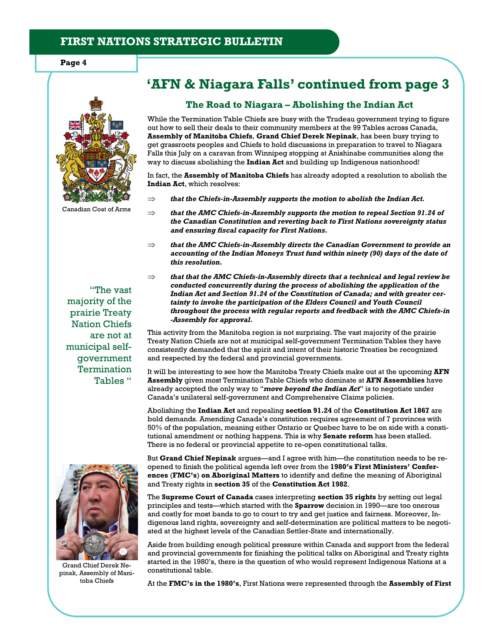

Canadian Coat of Arms

"The vast majority of the prairie Treaty Nation Chiefs are not at municipal selfgovernment **Termination** Tables "

# **'AFN & Niagara Falls' continued from page 3**

#### **The Road to Niagara – Abolishing the Indian Act**

While the Termination Table Chiefs are busy with the Trudeau government trying to figure out how to sell their deals to their community members at the 99 Tables across Canada, **Assembly of Manitoba Chiefs**, **Grand Chief Derek Nepinak**, has been busy trying to get grassroots peoples and Chiefs to hold discussions in preparation to travel to Niagara Falls this July on a caravan from Winnipeg stopping at Anishinabe communities along the way to discuss abolishing the **Indian Act** and building up Indigenous nationhood!

In fact, the **Assembly of Manitoba Chiefs** has already adopted a resolution to abolish the **Indian Act**, which resolves:

- $\Rightarrow$  that the Chiefs-in-Assembly supports the motion to abolish the Indian Act.
- $\Rightarrow$  that the AMC Chiefs-in-Assembly supports the motion to repeal Section 91.24 of *the Canadian Constitution and reverting back to First Nations sovereignty status and ensuring fiscal capacity for First Nations.*
- $\Rightarrow$  that the AMC Chiefs-in-Assembly directs the Canadian Government to provide an *accounting of the Indian Moneys Trust fund within ninety (90) days of the date of this resolution.*
- $\Rightarrow$  that that the AMC Chiefs-in-Assembly directs that a technical and legal review be *conducted concurrently during the process of abolishing the application of the Indian Act and Section 91.24 of the Constitution of Canada; and with greater certainty to invoke the participation of the Elders Council and Youth Council throughout the process with regular reports and feedback with the AMC Chiefs-in -Assembly for approval.*

This activity from the Manitoba region is not surprising. The vast majority of the prairie Treaty Nation Chiefs are not at municipal self-government Termination Tables they have consistently demanded that the spirit and intent of their historic Treaties be recognized and respected by the federal and provincial governments.

It will be interesting to see how the Manitoba Treaty Chiefs make out at the upcoming **AFN Assembly** given most Termination Table Chiefs who dominate at **AFN Assemblies** have already accepted the only way to "*move beyond the Indian Act*" is to negotiate under Canada's unilateral self-government and Comprehensive Claims policies.

Abolishing the **Indian Act** and repealing **section 91.24** of the **Constitution Act 1867** are bold demands. Amending Canada's constitution requires agreement of 7 provinces with 50% of the population, meaning either Ontario or Quebec have to be on side with a constitutional amendment or nothing happens. This is why **Senate reform** has been stalled. There is no federal or provincial appetite to re-open constitutional talks.



Grand Chief Derek Nepinak, Assembly of Manitoba Chiefs

But **Grand Chief Nepinak** argues—and I agree with him—the constitution needs to be reopened to finish the political agenda left over from the **1980's First Ministers' Conferences** (**FMC's**) **on Aboriginal Matters** to identify and define the meaning of Aboriginal and Treaty rights in **section 35** of the **Constitution Act 1982**.

The **Supreme Court of Canada** cases interpreting **section 35 rights** by setting out legal principles and tests—which started with the **Sparrow** decision in 1990—are too onerous and costly for most bands to go to court to try and get justice and fairness. Moreover, Indigenous land rights, sovereignty and self-determination are political matters to be negotiated at the highest levels of the Canadian Settler-State and internationally.

Aside from building enough political pressure within Canada and support from the federal and provincial governments for finishing the political talks on Aboriginal and Treaty rights started in the 1980's, there is the question of who would represent Indigenous Nations at a constitutional table.

At the **FMC's in the 1980's**, First Nations were represented through the **Assembly of First**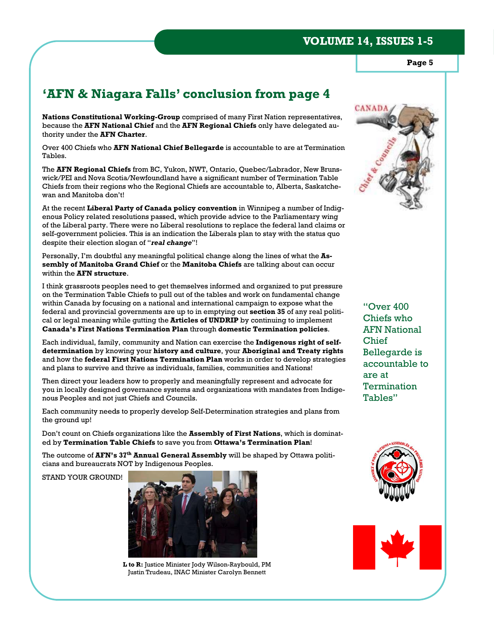**Page 5** 

# **'AFN & Niagara Falls' conclusion from page 4**

**Nations Constitutional Working-Group** comprised of many First Nation representatives, because the **AFN National Chief** and the **AFN Regional Chiefs** only have delegated authority under the **AFN Charter**.

Over 400 Chiefs who **AFN National Chief Bellegarde** is accountable to are at Termination Tables.

The **AFN Regional Chiefs** from BC, Yukon, NWT, Ontario, Quebec/Labrador, New Brunswick/PEI and Nova Scotia/Newfoundland have a significant number of Termination Table Chiefs from their regions who the Regional Chiefs are accountable to, Alberta, Saskatchewan and Manitoba don't!

At the recent **Liberal Party of Canada policy convention** in Winnipeg a number of Indigenous Policy related resolutions passed, which provide advice to the Parliamentary wing of the Liberal party. There were no Liberal resolutions to replace the federal land claims or self-government policies. This is an indication the Liberals plan to stay with the status quo despite their election slogan of "*real change*"!

Personally, I'm doubtful any meaningful political change along the lines of what the **Assembly of Manitoba Grand Chief** or the **Manitoba Chiefs** are talking about can occur within the **AFN structure**.

I think grassroots peoples need to get themselves informed and organized to put pressure on the Termination Table Chiefs to pull out of the tables and work on fundamental change within Canada by focusing on a national and international campaign to expose what the federal and provincial governments are up to in emptying out **section 35** of any real political or legal meaning while gutting the **Articles of UNDRIP** by continuing to implement **Canada's First Nations Termination Plan** through **domestic Termination policies**.

Each individual, family, community and Nation can exercise the **Indigenous right of selfdetermination** by knowing your **history and culture**, your **Aboriginal and Treaty rights** and how the **federal First Nations Termination Plan** works in order to develop strategies and plans to survive and thrive as individuals, families, communities and Nations!

Then direct your leaders how to properly and meaningfully represent and advocate for you in locally designed governance systems and organizations with mandates from Indigenous Peoples and not just Chiefs and Councils.

Each community needs to properly develop Self-Determination strategies and plans from the ground up!

Don't count on Chiefs organizations like the **Assembly of First Nations**, which is dominated by **Termination Table Chiefs** to save you from **Ottawa's Termination Plan**!

The outcome of **AFN's 37th Annual General Assembly** will be shaped by Ottawa politicians and bureaucrats NOT by Indigenous Peoples.

STAND YOUR GROUND!



**L to R:** Justice Minister Jody Wilson-Raybould, PM Justin Trudeau, INAC Minister Carolyn Bennett



"Over 400 Chiefs who AFN National Chief Bellegarde is accountable to are at **Termination** Tables"



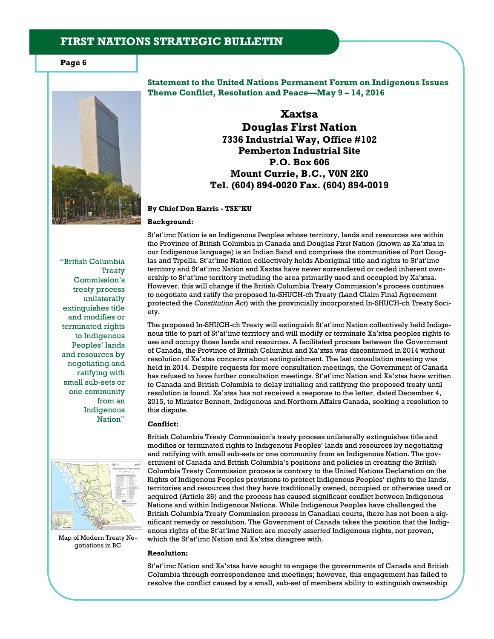**Page 6** 



**Statement to the United Nations Permanent Forum on Indigenous Issues Theme Conflict, Resolution and Peace—May 9 – 14, 2016** 

> **Xaxtsa Douglas First Nation 7336 Industrial Way, Office #102 Pemberton Industrial Site P.O. Box 606 Mount Currie, B.C., V0N 2K0 Tel. (604) 894-0020 Fax. (604) 894-0019**

**By Chief Don Harris - TSE'KU** 

#### **Background:**

"British Columbia **Treaty** Commission's treaty process unilaterally extinguishes title and modifies or terminated rights to Indigenous Peoples' lands and resources by negotiating and ratifying with small sub-sets or one community from an Indigenous Nation"



Map of Modern Treaty Negotiations in BC

St'at'imc Nation is an Indigenous Peoples whose territory, lands and resources are within the Province of British Columbia in Canada and Douglas First Nation (known as Xa'xtsa in our Indigenous language) is an Indian Band and comprises the communities of Port Douglas and Tipella. St'at'imc Nation collectively holds Aboriginal title and rights to St'at'imc territory and St'at'imc Nation and Xaxtsa have never surrendered or ceded inherent ownership to St'at'imc territory including the area primarily used and occupied by Xa'xtsa. However, this will change if the British Columbia Treaty Commission's process continues to negotiate and ratify the proposed In-SHUCH-ch Treaty (Land Claim Final Agreement protected the *Constitution Act*) with the provincially incorporated In-SHUCH-ch Treaty Society.

The proposed In-SHUCH-ch Treaty will extinguish St'at'imc Nation collectively held Indigenous title to part of St'at'imc territory and will modify or terminate Xa'xtsa peoples rights to use and occupy those lands and resources. A facilitated process between the Government of Canada, the Province of British Columbia and Xa'xtsa was discontinued in 2014 without resolution of Xa'xtsa concerns about extinguishment. The last consultation meeting was held in 2014. Despite requests for more consultation meetings, the Government of Canada has refused to have further consultation meetings. St'at'imc Nation and Xa'xtsa have written to Canada and British Columbia to delay initialing and ratifying the proposed treaty until resolution is found. Xa'xtsa has not received a response to the letter, dated December 4, 2015, to Minister Bennett, Indigenous and Northern Affairs Canada, seeking a resolution to this dispute.

#### **Conflict:**

British Columbia Treaty Commission's treaty process unilaterally extinguishes title and modifies or terminated rights to Indigenous Peoples' lands and resources by negotiating and ratifying with small sub-sets or one community from an Indigenous Nation. The government of Canada and British Columbia's positions and policies in creating the British Columbia Treaty Commission process is contrary to the United Nations Declaration on the Rights of Indigenous Peoples provisions to protect Indigenous Peoples' rights to the lands, territories and resources that they have traditionally owned, occupied or otherwise used or acquired (Article 26) and the process has caused significant conflict between Indigenous Nations and within Indigenous Nations. While Indigenous Peoples have challenged the British Columbia Treaty Commission process in Canadian courts, there has not been a significant remedy or resolution. The Government of Canada takes the position that the Indigenous rights of the St'at'imc Nation are merely *asserted* Indigenous rights, not proven, which the St'at'imc Nation and Xa'xtsa disagree with.

#### **Resolution:**

St'at'imc Nation and Xa'xtsa have sought to engage the governments of Canada and British Columbia through correspondence and meetings; however, this engagement has failed to resolve the conflict caused by a small, sub-set of members ability to extinguish ownership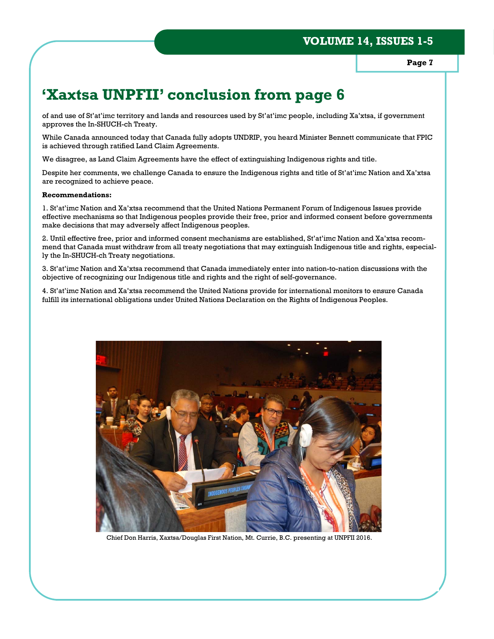**Page 7** 

# **'Xaxtsa UNPFII' conclusion from page 6**

of and use of St'at'imc territory and lands and resources used by St'at'imc people, including Xa'xtsa, if government approves the In-SHUCH-ch Treaty.

While Canada announced today that Canada fully adopts UNDRIP, you heard Minister Bennett communicate that FPIC is achieved through ratified Land Claim Agreements.

We disagree, as Land Claim Agreements have the effect of extinguishing Indigenous rights and title.

Despite her comments, we challenge Canada to ensure the Indigenous rights and title of St'at'imc Nation and Xa'xtsa are recognized to achieve peace.

#### **Recommendations:**

1. St'at'imc Nation and Xa'xtsa recommend that the United Nations Permanent Forum of Indigenous Issues provide effective mechanisms so that Indigenous peoples provide their free, prior and informed consent before governments make decisions that may adversely affect Indigenous peoples.

2. Until effective free, prior and informed consent mechanisms are established, St'at'imc Nation and Xa'xtsa recommend that Canada must withdraw from all treaty negotiations that may extinguish Indigenous title and rights, especially the In-SHUCH-ch Treaty negotiations.

3. St'at'imc Nation and Xa'xtsa recommend that Canada immediately enter into nation-to-nation discussions with the objective of recognizing our Indigenous title and rights and the right of self-governance.

4. St'at'imc Nation and Xa'xtsa recommend the United Nations provide for international monitors to ensure Canada fulfill its international obligations under United Nations Declaration on the Rights of Indigenous Peoples.



Chief Don Harris, Xaxtsa/Douglas First Nation, Mt. Currie, B.C. presenting at UNPFII 2016.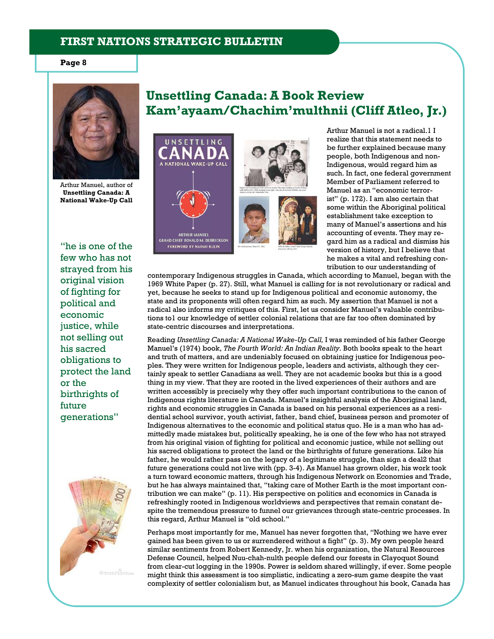#### **Page 8**



Arthur Manuel, author of **Unsettling Canada: A National Wake-Up Call**

"he is one of the few who has not strayed from his original vision of fighting for political and economic justice, while not selling out his sacred obligations to protect the land or the birthrights of future generations"



# **Unsettling Canada: A Book Review Kam'ayaam/Chachim'multhnii (Cliff Atleo, Jr.)**





Arthur Manuel is not a radical.1 I realize that this statement needs to be further explained because many people, both Indigenous and non-Indigenous, would regard him as such. In fact, one federal government Member of Parliament referred to Manuel as an "economic terrorist" (p. 172). I am also certain that some within the Aboriginal political establishment take exception to many of Manuel's assertions and his accounting of events. They may regard him as a radical and dismiss his version of history, but I believe that he makes a vital and refreshing contribution to our understanding of

contemporary Indigenous struggles in Canada, which according to Manuel, began with the 1969 White Paper (p. 27). Still, what Manuel is calling for is not revolutionary or radical and yet, because he seeks to stand up for Indigenous political and economic autonomy, the state and its proponents will often regard him as such. My assertion that Manuel is not a radical also informs my critiques of this. First, let us consider Manuel's valuable contributions to1 our knowledge of settler colonial relations that are far too often dominated by state-centric discourses and interpretations.

Reading *Unsettling Canada: A National Wake-Up Call,* I was reminded of his father George Manuel's (1974) book, *The Fourth World: An Indian Reality.* Both books speak to the heart and truth of matters, and are undeniably focused on obtaining justice for Indigenous peoples. They were written for Indigenous people, leaders and activists, although they certainly speak to settler Canadians as well. They are not academic books but this is a good thing in my view. That they are rooted in the lived experiences of their authors and are written accessibly is precisely why they offer such important contributions to the canon of Indigenous rights literature in Canada. Manuel's insightful analysis of the Aboriginal land, rights and economic struggles in Canada is based on his personal experiences as a residential school survivor, youth activist, father, band chief, business person and promoter of Indigenous alternatives to the economic and political status quo. He is a man who has admittedly made mistakes but, politically speaking, he is one of the few who has not strayed from his original vision of fighting for political and economic justice, while not selling out his sacred obligations to protect the land or the birthrights of future generations. Like his father, he would rather pass on the legacy of a legitimate struggle, than sign a deal2 that future generations could not live with (pp. 3-4). As Manuel has grown older, his work took a turn toward economic matters, through his Indigenous Network on Economies and Trade, but he has always maintained that, "taking care of Mother Earth is the most important contribution we can make" (p. 11). His perspective on politics and economics in Canada is refreshingly rooted in Indigenous worldviews and perspectives that remain constant despite the tremendous pressure to funnel our grievances through state-centric processes. In this regard, Arthur Manuel is "old school."

Perhaps most importantly for me, Manuel has never forgotten that, "Nothing we have ever gained has been given to us or surrendered without a fight" (p. 3). My own people heard similar sentiments from Robert Kennedy, Jr. when his organization, the Natural Resources Defense Council, helped Nuu-chah-nulth people defend our forests in Clayoquot Sound from clear-cut logging in the 1990s. Power is seldom shared willingly, if ever. Some people might think this assessment is too simplistic, indicating a zero-sum game despite the vast complexity of settler colonialism but, as Manuel indicates throughout his book, Canada has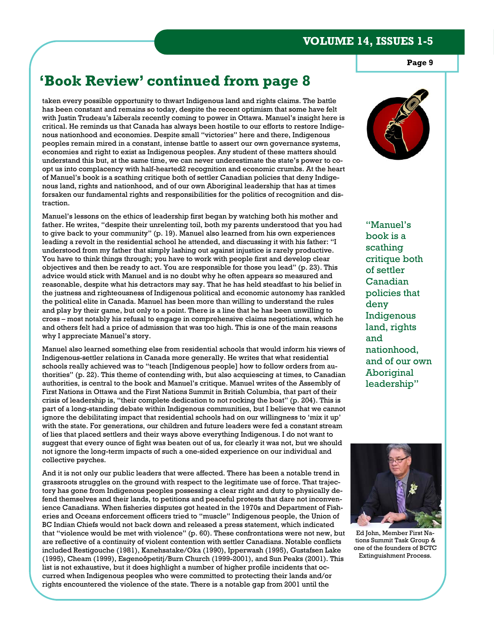**Page 9** 

# **'Book Review' continued from page 8**

taken every possible opportunity to thwart Indigenous land and rights claims. The battle has been constant and remains so today, despite the recent optimism that some have felt with Justin Trudeau's Liberals recently coming to power in Ottawa. Manuel's insight here is critical. He reminds us that Canada has always been hostile to our efforts to restore Indigenous nationhood and economies. Despite small "victories" here and there, Indigenous peoples remain mired in a constant, intense battle to assert our own governance systems, economies and right to exist as Indigenous peoples. Any student of these matters should understand this but, at the same time, we can never underestimate the state's power to coopt us into complacency with half-hearted2 recognition and economic crumbs. At the heart of Manuel's book is a scathing critique both of settler Canadian policies that deny Indigenous land, rights and nationhood, and of our own Aboriginal leadership that has at times forsaken our fundamental rights and responsibilities for the politics of recognition and distraction.

Manuel's lessons on the ethics of leadership first began by watching both his mother and father. He writes, "despite their unrelenting toil, both my parents understood that you had to give back to your community" (p. 19). Manuel also learned from his own experiences leading a revolt in the residential school he attended, and discussing it with his father: "I understood from my father that simply lashing out against injustice is rarely productive. You have to think things through; you have to work with people first and develop clear objectives and then be ready to act. You are responsible for those you lead" (p. 23). This advice would stick with Manuel and is no doubt why he often appears so measured and reasonable, despite what his detractors may say. That he has held steadfast to his belief in the justness and righteousness of Indigenous political and economic autonomy has rankled the political elite in Canada. Manuel has been more than willing to understand the rules and play by their game, but only to a point. There is a line that he has been unwilling to cross – most notably his refusal to engage in comprehensive claims negotiations, which he and others felt had a price of admission that was too high. This is one of the main reasons why I appreciate Manuel's story.

Manuel also learned something else from residential schools that would inform his views of Indigenous-settler relations in Canada more generally. He writes that what residential schools really achieved was to "teach [Indigenous people] how to follow orders from authorities" (p. 22). This theme of contending with, but also acquiescing at times, to Canadian authorities, is central to the book and Manuel's critique. Manuel writes of the Assembly of First Nations in Ottawa and the First Nations Summit in British Columbia, that part of their crisis of leadership is, "their complete dedication to not rocking the boat" (p. 204). This is part of a long-standing debate within Indigenous communities, but I believe that we cannot ignore the debilitating impact that residential schools had on our willingness to 'mix it up' with the state. For generations, our children and future leaders were fed a constant stream of lies that placed settlers and their ways above everything Indigenous. I do not want to suggest that every ounce of fight was beaten out of us, for clearly it was not, but we should not ignore the long-term impacts of such a one-sided experience on our individual and collective psyches.

And it is not only our public leaders that were affected. There has been a notable trend in grassroots struggles on the ground with respect to the legitimate use of force. That trajectory has gone from Indigenous peoples possessing a clear right and duty to physically defend themselves and their lands, to petitions and peaceful protests that dare not inconvenience Canadians. When fisheries disputes got heated in the 1970s and Department of Fisheries and Oceans enforcement officers tried to "muscle" Indigenous people, the Union of BC Indian Chiefs would not back down and released a press statement, which indicated that "violence would be met with violence" (p. 60). These confrontations were not new, but are reflective of a continuity of violent contention with settler Canadians. Notable conflicts included Restigouche (1981), Kanehsatake/Oka (1990), Ipperwash (1995), Gustafsen Lake (1995), Cheam (1999), Esgenoôpetitj/Burn Church (1999-2001), and Sun Peaks (2001). This list is not exhaustive, but it does highlight a number of higher profile incidents that occurred when Indigenous peoples who were committed to protecting their lands and/or rights encountered the violence of the state. There is a notable gap from 2001 until the



"Manuel's book is a scathing critique both of settler Canadian policies that deny Indigenous land, rights and nationhood, and of our own Aboriginal leadership"



Ed John, Member First Nations Summit Task Group & one of the founders of BCTC Extinguishment Process.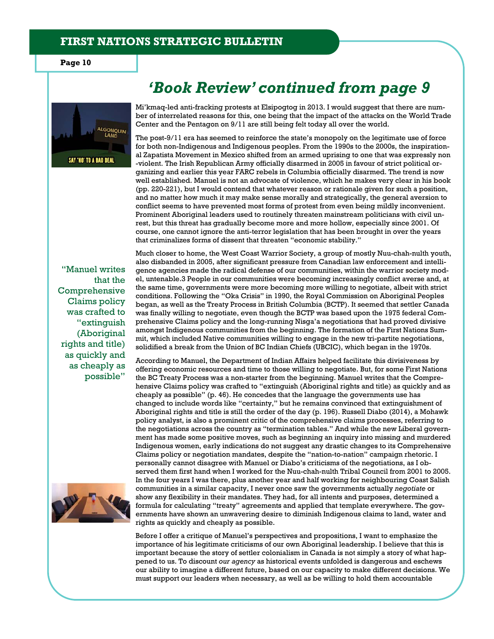**Page 10** 





Mi'kmaq-led anti-fracking protests at Elsipogtog in 2013. I would suggest that there are number of interrelated reasons for this, one being that the impact of the attacks on the World Trade Center and the Pentagon on 9/11 are still being felt today all over the world.

The post-9/11 era has seemed to reinforce the state's monopoly on the legitimate use of force for both non-Indigenous and Indigenous peoples. From the 1990s to the 2000s, the inspirational Zapatista Movement in Mexico shifted from an armed uprising to one that was expressly non -violent. The Irish Republican Army officially disarmed in 2005 in favour of strict political organizing and earlier this year FARC rebels in Columbia officially disarmed. The trend is now well established. Manuel is not an advocate of violence, which he makes very clear in his book (pp. 220-221), but I would contend that whatever reason or rationale given for such a position, and no matter how much it may make sense morally and strategically, the general aversion to conflict seems to have prevented most forms of protest from even being mildly inconvenient. Prominent Aboriginal leaders used to routinely threaten mainstream politicians with civil unrest, but this threat has gradually become more and more hollow, especially since 2001. Of course, one cannot ignore the anti-terror legislation that has been brought in over the years that criminalizes forms of dissent that threaten "economic stability."

"Manuel writes that the Comprehensive Claims policy was crafted to "extinguish (Aboriginal rights and title) as quickly and as cheaply as possible"



Much closer to home, the West Coast Warrior Society, a group of mostly Nuu-chah-nulth youth, also disbanded in 2005, after significant pressure from Canadian law enforcement and intelligence agencies made the radical defense of our communities, within the warrior society model, untenable.3 People in our communities were becoming increasingly conflict averse and, at the same time, governments were more becoming more willing to negotiate, albeit with strict conditions. Following the "Oka Crisis" in 1990, the Royal Commission on Aboriginal Peoples began, as well as the Treaty Process in British Columbia (BCTP). It seemed that settler Canada was finally willing to negotiate, even though the BCTP was based upon the 1975 federal Comprehensive Claims policy and the long-running Nisga'a negotiations that had proved divisive amongst Indigenous communities from the beginning. The formation of the First Nations Summit, which included Native communities willing to engage in the new tri-partite negotiations, solidified a break from the Union of BC Indian Chiefs (UBCIC), which began in the 1970s.

According to Manuel, the Department of Indian Affairs helped facilitate this divisiveness by offering economic resources and time to those willing to negotiate. But, for some First Nations the BC Treaty Process was a non-starter from the beginning. Manuel writes that the Comprehensive Claims policy was crafted to "extinguish (Aboriginal rights and title) as quickly and as cheaply as possible" (p. 46). He concedes that the language the governments use has changed to include words like "certainty," but he remains convinced that extinguishment of Aboriginal rights and title is still the order of the day (p. 196). Russell Diabo (2014), a Mohawk policy analyst, is also a prominent critic of the comprehensive claims processes, referring to the negotiations across the country as "termination tables." And while the new Liberal government has made some positive moves, such as beginning an inquiry into missing and murdered Indigenous women, early indications do not suggest any drastic changes to its Comprehensive Claims policy or negotiation mandates, despite the "nation-to-nation" campaign rhetoric. I personally cannot disagree with Manuel or Diabo's criticisms of the negotiations, as I observed them first hand when I worked for the Nuu-chah-nulth Tribal Council from 2001 to 2005. In the four years I was there, plus another year and half working for neighbouring Coast Salish communities in a similar capacity, I never once saw the governments actually *negotiate* or show any flexibility in their mandates. They had, for all intents and purposes, determined a formula for calculating "treaty" agreements and applied that template everywhere. The governments have shown an unwavering desire to diminish Indigenous claims to land, water and rights as quickly and cheaply as possible.

Before I offer a critique of Manuel's perspectives and propositions, I want to emphasize the importance of his legitimate criticisms of our own Aboriginal leadership. I believe that this is important because the story of settler colonialism in Canada is not simply a story of what happened to us. To discount *our agency* as historical events unfolded is dangerous and eschews our ability to imagine a different future, based on our capacity to make different decisions. We must support our leaders when necessary, as well as be willing to hold them accountable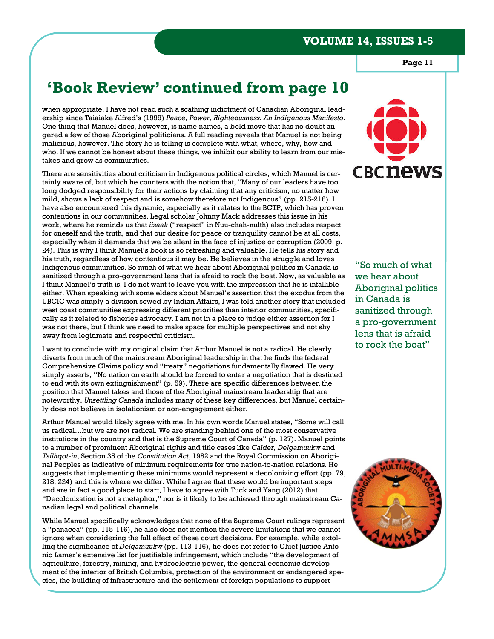**Page 11** 

# **'Book Review' continued from page 10**

when appropriate. I have not read such a scathing indictment of Canadian Aboriginal leadership since Taiaiake Alfred's (1999) *Peace, Power, Righteousness: An Indigenous Manifesto.*  One thing that Manuel does, however, is name names, a bold move that has no doubt angered a few of those Aboriginal politicians. A full reading reveals that Manuel is not being malicious, however. The story he is telling is complete with what, where, why, how and who. If we cannot be honest about these things, we inhibit our ability to learn from our mistakes and grow as communities.

There are sensitivities about criticism in Indigenous political circles, which Manuel is certainly aware of, but which he counters with the notion that, "Many of our leaders have too long dodged responsibility for their actions by claiming that any criticism, no matter how mild, shows a lack of respect and is somehow therefore not Indigenous" (pp. 215-216). I have also encountered this dynamic, especially as it relates to the BCTP, which has proven contentious in our communities. Legal scholar Johnny Mack addresses this issue in his work, where he reminds us that *iisaak* ("respect" in Nuu-chah-nulth) also includes respect for oneself and the truth, and that our desire for peace or tranquility cannot be at all costs, especially when it demands that we be silent in the face of injustice or corruption (2009, p. 24). This is why I think Manuel's book is so refreshing and valuable. He tells his story and his truth, regardless of how contentious it may be. He believes in the struggle and loves Indigenous communities. So much of what we hear about Aboriginal politics in Canada is sanitized through a pro-government lens that is afraid to rock the boat. Now, as valuable as I think Manuel's truth is, I do not want to leave you with the impression that he is infallible either. When speaking with some elders about Manuel's assertion that the exodus from the UBCIC was simply a division sowed by Indian Affairs, I was told another story that included west coast communities expressing different priorities than interior communities, specifically as it related to fisheries advocacy. I am not in a place to judge either assertion for I was not there, but I think we need to make space for multiple perspectives and not shy away from legitimate and respectful criticism.

I want to conclude with my original claim that Arthur Manuel is not a radical. He clearly diverts from much of the mainstream Aboriginal leadership in that he finds the federal Comprehensive Claims policy and "treaty" negotiations fundamentally flawed. He very simply asserts, "No nation on earth should be forced to enter a negotiation that is destined to end with its own extinguishment" (p. 59). There are specific differences between the position that Manuel takes and those of the Aboriginal mainstream leadership that are noteworthy. *Unsettling Canada* includes many of these key differences, but Manuel certainly does not believe in isolationism or non-engagement either.

Arthur Manuel would likely agree with me. In his own words Manuel states, "Some will call us radical…but we are not radical. We are standing behind one of the most conservative institutions in the country and that is the Supreme Court of Canada" (p. 127). Manuel points to a number of prominent Aboriginal rights and title cases like *Calder, Delgamuukw* and *Tsilhqot-in*, Section 35 of the *Constitution Act*, 1982 and the Royal Commission on Aboriginal Peoples as indicative of minimum requirements for true nation-to-nation relations. He suggests that implementing these minimums would represent a decolonizing effort (pp. 79, 218, 224) and this is where we differ. While I agree that these would be important steps and are in fact a good place to start, I have to agree with Tuck and Yang (2012) that "Decolonization is not a metaphor," nor is it likely to be achieved through mainstream Canadian legal and political channels.

While Manuel specifically acknowledges that none of the Supreme Court rulings represent a "panacea" (pp. 115-116), he also does not mention the severe limitations that we cannot ignore when considering the full effect of these court decisions. For example, while extolling the significance of *Delgamuukw* (pp. 113-116), he does not refer to Chief Justice Antonio Lamer's extensive list for justifiable infringement, which include "the development of agriculture, forestry, mining, and hydroelectric power, the general economic development of the interior of British Columbia, protection of the environment or endangered species, the building of infrastructure and the settlement of foreign populations to support



"So much of what we hear about Aboriginal politics in Canada is sanitized through a pro-government lens that is afraid to rock the boat"

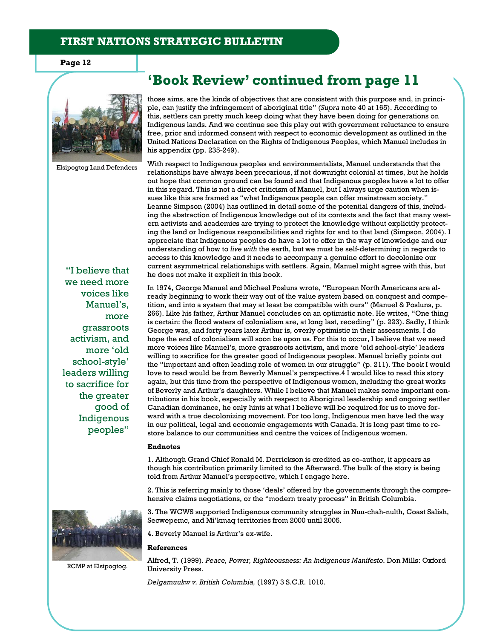**Page 12** 



Elsipogtog Land Defenders

"I believe that we need more voices like Manuel's, more grassroots activism, and more 'old school-style' leaders willing to sacrifice for the greater good of Indigenous peoples"



RCMP at Elsipogtog.

**'Book Review' continued from page 11** 

those aims, are the kinds of objectives that are consistent with this purpose and, in principle, can justify the infringement of aboriginal title" (*Supra* note 40 at 165). According to this, settlers can pretty much keep doing what they have been doing for generations on Indigenous lands. And we continue see this play out with government reluctance to ensure free, prior and informed consent with respect to economic development as outlined in the United Nations Declaration on the Rights of Indigenous Peoples, which Manuel includes in his appendix (pp. 235-249).

With respect to Indigenous peoples and environmentalists, Manuel understands that the relationships have always been precarious, if not downright colonial at times, but he holds out hope that common ground can be found and that Indigenous peoples have a lot to offer in this regard. This is not a direct criticism of Manuel, but I always urge caution when issues like this are framed as "what Indigenous people can offer mainstream society." Leanne Simpson (2004) has outlined in detail some of the potential dangers of this, including the abstraction of Indigenous knowledge out of its contexts and the fact that many western activists and academics are trying to protect the knowledge without explicitly protecting the land or Indigenous responsibilities and rights for and to that land (Simpson, 2004). I appreciate that Indigenous peoples do have a lot to offer in the way of knowledge and our understanding of how to *live with* the earth, but we must be self-determining in regards to access to this knowledge and it needs to accompany a genuine effort to decolonize our current asymmetrical relationships with settlers. Again, Manuel might agree with this, but he does not make it explicit in this book.

In 1974, George Manuel and Michael Posluns wrote, "European North Americans are already beginning to work their way out of the value system based on conquest and competition, and into a system that may at least be compatible with ours" (Manuel & Posluns, p. 266). Like his father, Arthur Manuel concludes on an optimistic note. He writes, "One thing is certain: the flood waters of colonialism are, at long last, receding" (p. 223). Sadly, I think George was, and forty years later Arthur is, overly optimistic in their assessments. I do hope the end of colonialism will soon be upon us. For this to occur, I believe that we need more voices like Manuel's, more grassroots activism, and more 'old school-style' leaders willing to sacrifice for the greater good of Indigenous peoples. Manuel briefly points out the "important and often leading role of women in our struggle" (p. 211). The book I would love to read would be from Beverly Manuel's perspective.4 I would like to read this story again, but this time from the perspective of Indigenous women, including the great works of Beverly and Arthur's daughters. While I believe that Manuel makes some important contributions in his book, especially with respect to Aboriginal leadership and ongoing settler Canadian dominance, he only hints at what I believe will be required for us to move forward with a true decolonizing movement. For too long, Indigenous men have led the way in our political, legal and economic engagements with Canada. It is long past time to restore balance to our communities and centre the voices of Indigenous women.

#### **Endnotes**

1. Although Grand Chief Ronald M. Derrickson is credited as co-author, it appears as though his contribution primarily limited to the Afterward. The bulk of the story is being told from Arthur Manuel's perspective, which I engage here.

2. This is referring mainly to those 'deals' offered by the governments through the comprehensive claims negotiations, or the "modern treaty process" in British Columbia.

3. The WCWS supported Indigenous community struggles in Nuu-chah-nulth, Coast Salish, Secwepemc, and Mi'kmaq territories from 2000 until 2005.

4. Beverly Manuel is Arthur's ex-wife.

#### **References**

Alfred, T. (1999). *Peace, Power, Righteousness: An Indigenous Manifesto*. Don Mills: Oxford University Press.

*Delgamuukw v. British Columbia,* (1997) 3 S.C.R. 1010.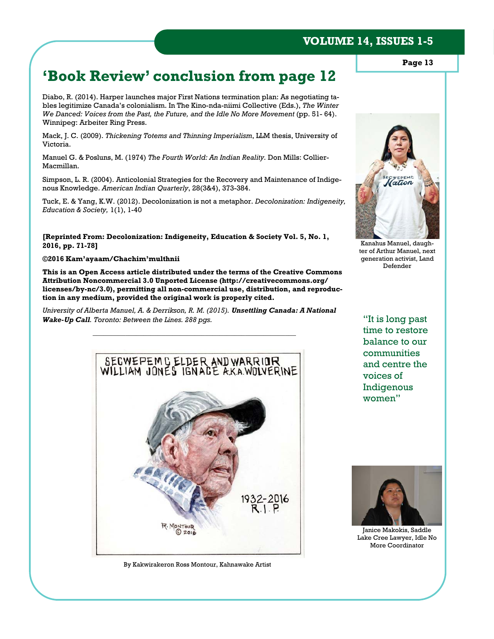# **'Book Review' conclusion from page 12**

Diabo, R. (2014). Harper launches major First Nations termination plan: As negotiating tables legitimize Canada's colonialism. In The Kino-nda-niimi Collective (Eds.), *The Winter We Danced: Voices from the Past, the Future, and the Idle No More Movement (pp. 51-64).* Winnipeg: Arbeiter Ring Press.

Mack, J. C. (2009). *Thickening Totems and Thinning Imperialism*, LLM thesis, University of Victoria.

Manuel G. & Posluns, M. (1974) *The Fourth World: An Indian Reality.* Don Mills: Collier-Macmillan.

Simpson, L. R. (2004). Anticolonial Strategies for the Recovery and Maintenance of Indigenous Knowledge. *American Indian Quarterly*, 28(3&4), 373-384.

Tuck, E. & Yang, K.W. (2012). Decolonization is not a metaphor. *Decolonization: Indigeneity, Education & Society,* 1(1), 1-40

**[Reprinted From: Decolonization: Indigeneity, Education & Society Vol. 5, No. 1, 2016, pp. 71-78]** 

#### **©2016 Kam'ayaam/Chachim'multhnii**

**This is an Open Access article distributed under the terms of the Creative Commons Attribution Noncommercial 3.0 Unported License (http://creativecommons.org/ licenses/by-nc/3.0), permitting all non-commercial use, distribution, and reproduction in any medium, provided the original work is properly cited.** 

*University of Alberta Manuel, A. & Derrikson, R. M. (2015). Unsettling Canada: A National Wake-Up Call. Toronto: Between the Lines. 288 pgs.* 

*\_\_\_\_\_\_\_\_\_\_\_\_\_\_\_\_\_\_\_\_\_\_\_\_\_\_\_\_\_\_\_\_\_\_\_\_\_\_\_\_\_\_\_\_\_\_\_\_\_\_\_\_\_\_\_\_* 



By Kakwirakeron Ross Montour, Kahnawake Artist

"It is long past time to restore balance to our communities and centre the voices of Indigenous women"



Janice Makokis, Saddle Lake Cree Lawyer, Idle No More Coordinator

**Page 13** 

**VOLUME 14, ISSUES 1-5** 



Kanahus Manuel, daughter of Arthur Manuel, next generation activist, Land Defender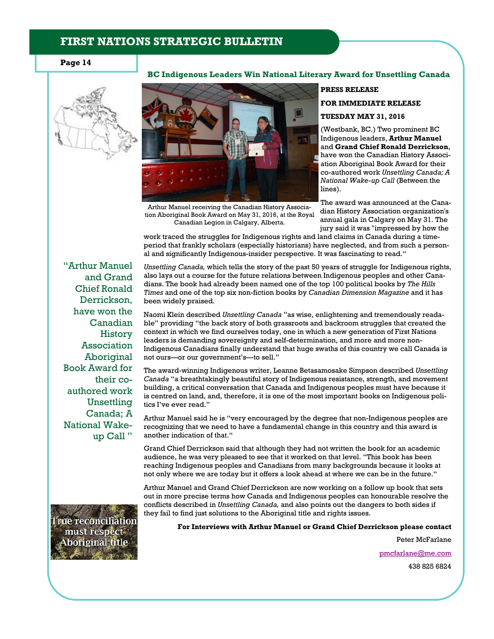#### **Page 14**



Arthur Manuel receiving the Canadian History Association Aboriginal Book Award on May 31, 2016, at the Royal Canadian Legion in Calgary, Alberta.

# **PRESS RELEASE FOR IMMEDIATE RELEASE TUESDAY MAY 31, 2016**

(Westbank, BC.) Two prominent BC Indigenous leaders, **Arthur Manuel**  and **Grand Chief Ronald Derrickson**, have won the Canadian History Association Aboriginal Book Award for their co-authored work *Unsettling Canada; A National Wake-up Call* (Between the lines).

The award was announced at the Canadian History Association organization's annual gala in Calgary on May 31. The jury said it was "impressed by how the

work traced the struggles for Indigenous rights and land claims in Canada during a timeperiod that frankly scholars (especially historians) have neglected, and from such a personal and significantly Indigenous-insider perspective. It was fascinating to read."

**BC Indigenous Leaders Win National Literary Award for Unsettling Canada** 

"Arthur Manuel and Grand Chief Ronald Derrickson, have won the Canadian History Association Aboriginal Book Award for their coauthored work Unsettling Canada; A National Wakeup Call "

*Unsettling Canada,* which tells the story of the past 50 years of struggle for Indigenous rights, also lays out a course for the future relations between Indigenous peoples and other Canadians. The book had already been named one of the top 100 political books by *The Hills Times* and one of the top six non-fiction books by *Canadian Dimension Magazine* and it has been widely praised.

Naomi Klein described *Unsettling Canada* "as wise, enlightening and tremendously readable" providing "the back story of both grassroots and backroom struggles that created the context in which we find ourselves today, one in which a new generation of First Nations leaders is demanding sovereignty and self-determination, and more and more non-Indigenous Canadians finally understand that huge swaths of this country we call Canada is not ours—or our government's—to sell."

The award-winning Indigenous writer, Leanne Betasamosake Simpson described *Unsettling Canada* "a breathtakingly beautiful story of Indigenous resistance, strength, and movement building, a critical conversation that Canada and Indigenous peoples must have because it is centred on land, and, therefore, it is one of the most important books on Indigenous politics I've ever read."

Arthur Manuel said he is "very encouraged by the degree that non-Indigenous peoples are recognizing that we need to have a fundamental change in this country and this award is another indication of that."

Grand Chief Derrickson said that although they had not written the book for an academic audience, he was very pleased to see that it worked on that level. "This book has been reaching Indigenous peoples and Canadians from many backgrounds because it looks at not only where we are today but it offers a look ahead at where we can be in the future."

Arthur Manuel and Grand Chief Derrickson are now working on a follow up book that sets out in more precise terms how Canada and Indigenous peoples can honourable resolve the conflicts described in *Unsettling Canada,* and also points out the dangers to both sides if they fail to find just solutions to the Aboriginal title and rights issues.

**For Interviews with Arthur Manuel or Grand Chief Derrickson please contact** 

Peter McFarlane

pmcfarlane@me.com

438 825 6824

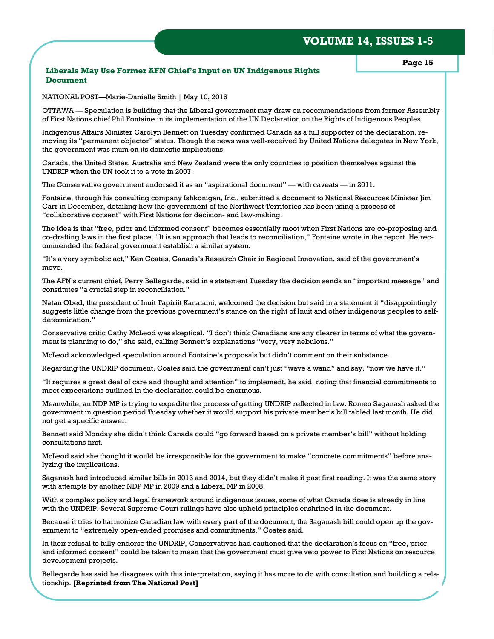#### **Liberals May Use Former AFN Chief's Input on UN Indigenous Rights Document**

**Page 15** 

NATIONAL POST—Marie-Danielle Smith | May 10, 2016

OTTAWA — Speculation is building that the Liberal government may draw on recommendations from former Assembly of First Nations chief Phil Fontaine in its implementation of the UN Declaration on the Rights of Indigenous Peoples.

Indigenous Affairs Minister Carolyn Bennett on Tuesday confirmed Canada as a full supporter of the declaration, removing its "permanent objector" status. Though the news was well-received by United Nations delegates in New York, the government was mum on its domestic implications.

Canada, the United States, Australia and New Zealand were the only countries to position themselves against the UNDRIP when the UN took it to a vote in 2007.

The Conservative government endorsed it as an "aspirational document" — with caveats — in 2011.

Fontaine, through his consulting company Ishkonigan, Inc., submitted a document to National Resources Minister Jim Carr in December, detailing how the government of the Northwest Territories has been using a process of "collaborative consent" with First Nations for decision- and law-making.

The idea is that "free, prior and informed consent" becomes essentially moot when First Nations are co-proposing and co-drafting laws in the first place. "It is an approach that leads to reconciliation," Fontaine wrote in the report. He recommended the federal government establish a similar system.

"It's a very symbolic act," Ken Coates, Canada's Research Chair in Regional Innovation, said of the government's move.

The AFN's current chief, Perry Bellegarde, said in a statement Tuesday the decision sends an "important message" and constitutes "a crucial step in reconciliation."

Natan Obed, the president of Inuit Tapiriit Kanatami, welcomed the decision but said in a statement it "disappointingly suggests little change from the previous government's stance on the right of Inuit and other indigenous peoples to selfdetermination."

Conservative critic Cathy McLeod was skeptical. "I don't think Canadians are any clearer in terms of what the government is planning to do," she said, calling Bennett's explanations "very, very nebulous."

McLeod acknowledged speculation around Fontaine's proposals but didn't comment on their substance.

Regarding the UNDRIP document, Coates said the government can't just "wave a wand" and say, "now we have it."

"It requires a great deal of care and thought and attention" to implement, he said, noting that financial commitments to meet expectations outlined in the declaration could be enormous.

Meanwhile, an NDP MP is trying to expedite the process of getting UNDRIP reflected in law. Romeo Saganash asked the government in question period Tuesday whether it would support his private member's bill tabled last month. He did not get a specific answer.

Bennett said Monday she didn't think Canada could "go forward based on a private member's bill" without holding consultations first.

McLeod said she thought it would be irresponsible for the government to make "concrete commitments" before analyzing the implications.

Saganash had introduced similar bills in 2013 and 2014, but they didn't make it past first reading. It was the same story with attempts by another NDP MP in 2009 and a Liberal MP in 2008.

With a complex policy and legal framework around indigenous issues, some of what Canada does is already in line with the UNDRIP. Several Supreme Court rulings have also upheld principles enshrined in the document.

Because it tries to harmonize Canadian law with every part of the document, the Saganash bill could open up the government to "extremely open-ended promises and commitments," Coates said.

In their refusal to fully endorse the UNDRIP, Conservatives had cautioned that the declaration's focus on "free, prior and informed consent" could be taken to mean that the government must give veto power to First Nations on resource development projects.

Bellegarde has said he disagrees with this interpretation, saying it has more to do with consultation and building a relationship. **[Reprinted from The National Post]**